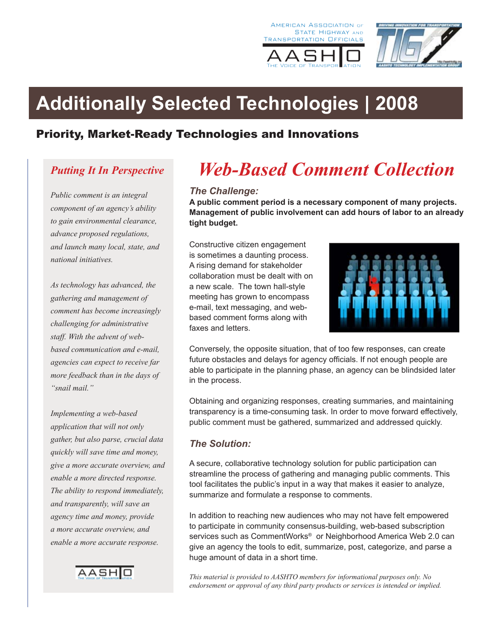





# **Additionally Selected Technologies | 2008**

## Priority, Market-Ready Technologies and Innovations

## *Putting It In Perspective*

*Public comment is an integral component of an agency's ability to gain environmental clearance, advance proposed regulations, and launch many local, state, and national initiatives.*

*As technology has advanced, the gathering and management of comment has become increasingly challenging for administrative staff. With the advent of webbased communication and e-mail, agencies can expect to receive far more feedback than in the days of "snail mail."*

*Implementing a web-based application that will not only gather, but also parse, crucial data quickly will save time and money, give a more accurate overview, and enable a more directed response. The ability to respond immediately, and transparently, will save an agency time and money, provide a more accurate overview, and enable a more accurate response.* 



# *Web-Based Comment Collection*

#### *The Challenge:*

**A public comment period is a necessary component of many projects. Management of public involvement can add hours of labor to an already tight budget.** 

Constructive citizen engagement is sometimes a daunting process. A rising demand for stakeholder collaboration must be dealt with on a new scale. The town hall-style meeting has grown to encompass e-mail, text messaging, and webbased comment forms along with faxes and letters.



Conversely, the opposite situation, that of too few responses, can create future obstacles and delays for agency officials. If not enough people are able to participate in the planning phase, an agency can be blindsided later in the process.

Obtaining and organizing responses, creating summaries, and maintaining transparency is a time-consuming task. In order to move forward effectively, public comment must be gathered, summarized and addressed quickly.

#### *The Solution:*

A secure, collaborative technology solution for public participation can streamline the process of gathering and managing public comments. This tool facilitates the public's input in a way that makes it easier to analyze, summarize and formulate a response to comments.

In addition to reaching new audiences who may not have felt empowered to participate in community consensus-building, web-based subscription services such as CommentWorks<sup>®</sup> or Neighborhood America Web 2.0 can give an agency the tools to edit, summarize, post, categorize, and parse a huge amount of data in a short time.

*This material is provided to AASHTO members for informational purposes only. No endorsement or approval of any third party products or services is intended or implied.*